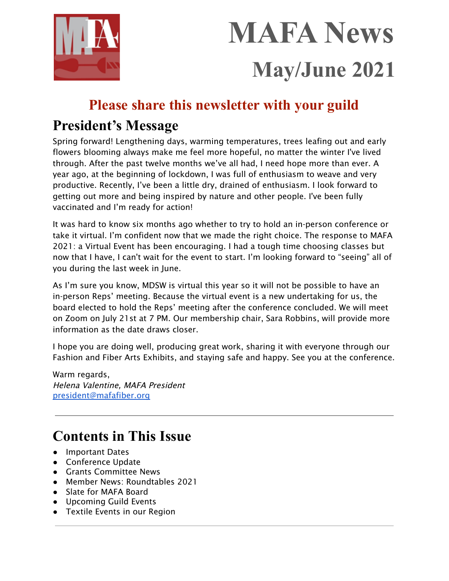

# **MAFA News May/June 2021**

# **Please share this newsletter with your guild**

# **President's Message**

Spring forward! Lengthening days, warming temperatures, trees leafing out and early flowers blooming always make me feel more hopeful, no matter the winter I've lived through. After the past twelve months we've all had, I need hope more than ever. A year ago, at the beginning of lockdown, I was full of enthusiasm to weave and very productive. Recently, I've been a little dry, drained of enthusiasm. I look forward to getting out more and being inspired by nature and other people. I've been fully vaccinated and I'm ready for action!

It was hard to know six months ago whether to try to hold an in-person conference or take it virtual. I'm confident now that we made the right choice. The response to MAFA 2021: a Virtual Event has been encouraging. I had a tough time choosing classes but now that I have, I can't wait for the event to start. I'm looking forward to "seeing" all of you during the last week in June.

As I'm sure you know, MDSW is virtual this year so it will not be possible to have an in-person Reps' meeting. Because the virtual event is a new undertaking for us, the board elected to hold the Reps' meeting after the conference concluded. We will meet on Zoom on July 21st at 7 PM. Our membership chair, Sara Robbins, will provide more information as the date draws closer.

I hope you are doing well, producing great work, sharing it with everyone through our Fashion and Fiber Arts Exhibits, and staying safe and happy. See you at the conference.

Warm regards, Helena Valentine, MAFA President [president@mafafiber.org](mailto:president@mafafiber.org)

# **Contents in This Issue**

- Important Dates
- Conference Update
- Grants Committee News
- Member News: Roundtables 2021
- Slate for MAFA Board
- Upcoming Guild Events
- Textile Events in our Region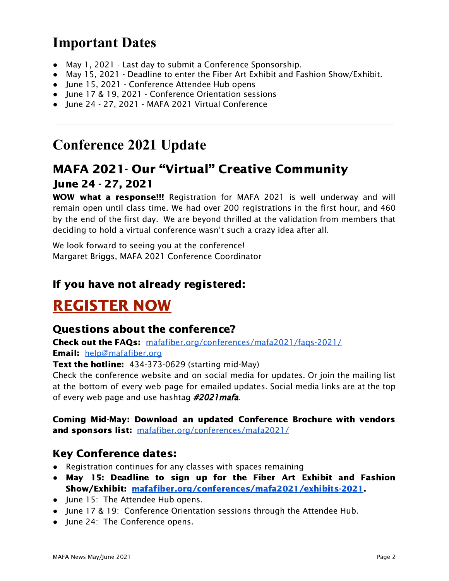# **Important Dates**

- May 1, 2021 Last day to submit a Conference Sponsorship.
- May 15, 2021 Deadline to enter the Fiber Art Exhibit and Fashion Show/Exhibit.
- June 15, 2021 Conference Attendee Hub opens
- June 17 & 19, 2021 Conference Orientation sessions
- June 24 27, 2021 MAFA 2021 Virtual Conference

# **Conference 2021 Update**

### MAFA 2021- Our "Virtual" Creative Community June 24 - 27, 2021

WOW what a response!!! Registration for MAFA 2021 is well underway and will remain open until class time. We had over 200 registrations in the first hour, and 460 by the end of the first day. We are beyond thrilled at the validation from members that deciding to hold a virtual conference wasn't such a crazy idea after all.

We look forward to seeing you at the conference! Margaret Briggs, MAFA 2021 Conference Coordinator

### If you have not already registered:

# [REGISTER](https://cvent.me/34w50D) NOW

### Questions about the conference?

Check out the FAQs: [mafafiber.org/conferences/mafa2021/faqs-2021/](https://mafafiber.org/conferences/mafa2021/faqs-2021/) Email: [help@mafafiber.org](mailto:help@mafafiber.org)

**Text the hotline:** 434-373-0629 (starting mid-May)

Check the conference website and on social media for updates. Or join the mailing list at the bottom of every web page for emailed updates. Social media links are at the top of every web page and use hashtag #2021 mafa.

### Coming Mid-May: Download an updated Conference Brochure with vendors and sponsors list: [mafafiber.org/conferences/mafa2021/](https://mafafiber.org/conferences/mafa2021/)

### Key Conference dates:

- Registration continues for any classes with spaces remaining
- **●** May 15: Deadline to sign up for the Fiber Art Exhibit and Fashion Show/Exhibit: [mafafiber.org/conferences/mafa2021/exhibits-2021.](https://mafafiber.org/conferences/mafa2021/exhibits-2021)
- June 15: The Attendee Hub opens.
- June 17 & 19: Conference Orientation sessions through the Attendee Hub.
- June 24: The Conference opens.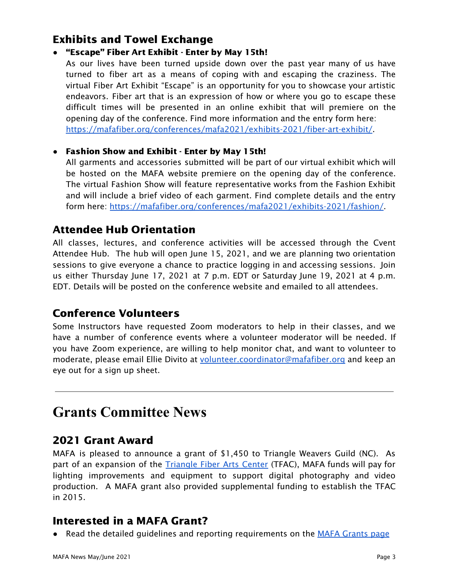### Exhibits and Towel Exchange

### **●** "Escape" Fiber Art Exhibit - Enter by May 15th!

As our lives have been turned upside down over the past year many of us have turned to fiber art as a means of coping with and escaping the craziness. The virtual Fiber Art Exhibit "Escape" is an opportunity for you to showcase your artistic endeavors. Fiber art that is an expression of how or where you go to escape these difficult times will be presented in an online exhibit that will premiere on the opening day of the conference. Find more information and the entry form here: [https://mafafiber.org/conferences/mafa2021/exhibits-2021/fiber-art-exhibit/.](https://mafafiber.org/conferences/mafa2021/exhibits-2021/fiber-art-exhibit/)

### **●** Fashion Show and Exhibit - Enter by May 15th!

All garments and accessories submitted will be part of our virtual exhibit which will be hosted on the MAFA website premiere on the opening day of the conference. The virtual Fashion Show will feature representative works from the Fashion Exhibit and will include a brief video of each garment. Find complete details and the entry form here: <https://mafafiber.org/conferences/mafa2021/exhibits-2021/fashion/>.

### Attendee Hub Orientation

All classes, lectures, and conference activities will be accessed through the Cvent Attendee Hub. The hub will open June 15, 2021, and we are planning two orientation sessions to give everyone a chance to practice logging in and accessing sessions. Join us either Thursday June 17, 2021 at 7 p.m. EDT or Saturday June 19, 2021 at 4 p.m. EDT. Details will be posted on the conference website and emailed to all attendees.

### Conference Volunteers

Some Instructors have requested Zoom moderators to help in their classes, and we have a number of conference events where a volunteer moderator will be needed. If you have Zoom experience, are willing to help monitor chat, and want to volunteer to moderate, please email Ellie Divito at [volunteer.coordinator@mafafiber.org](mailto:volunteer.coordinator@mafafiber.org) and keep an eye out for a sign up sheet.

### **Grants Committee News**

### 2021 Grant Award

MAFA is pleased to announce a grant of \$1,450 to Triangle Weavers Guild (NC). As part of an expansion of the [Triangle](https://www.triangleweavers.org/about-tfac.html) Fiber Arts Center (TFAC), MAFA funds will pay for lighting improvements and equipment to support digital photography and video production. A MAFA grant also provided supplemental funding to establish the TFAC in 2015.

### Interested in a MAFA Grant?

• Read the detailed guidelines and reporting requirements on the MAFA [Grants](https://mafafiber.org/grants/guild-grants/) page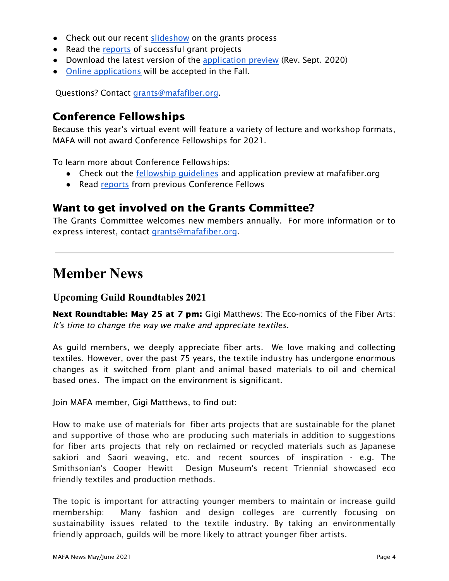- Check out our recent [slideshow](https://mafafiber.org/wp-content/uploads/Grants/MAFA-Grants-Slides-compressed.pdf) on the grants process
- Read the [reports](https://mafafiber.org/grants/guild-grants/grant-awards/) of successful grant projects
- Download the latest version of the [application](https://mafafiber.org/wp-content/uploads/Forms/MAFA-GRANT-APPLICATION-preview.pdf) preview (Rev. Sept. 2020)
- Online [applications](https://mafafiber.org/grants/guild-grants/grant-application/) will be accepted in the Fall.

Questions? Contact [grants@mafafiber.org.](mailto:grants@mafafiber.org)

### Conference Fellowships

Because this year's virtual event will feature a variety of lecture and workshop formats, MAFA will not award Conference Fellowships for 2021.

To learn more about Conference Fellowships:

- Check out the <u>fellowship quidelines</u> and application preview at mafafiber.org
- Read [reports](https://mafafiber.org/grants/fellowships/fellowship-awards/) from previous Conference Fellows

### Want to get involved on the Grants Committee?

The Grants Committee welcomes new members annually. For more information or to express interest, contact [grants@mafafiber.org](mailto:grants@mafafiber.org).

### **Member News**

### **Upcoming Guild Roundtables 2021**

Next Roundtable: May 25 at 7 pm: Gigi Matthews: The Eco-nomics of the Fiber Arts: It's time to change the way we make and appreciate textiles.

As guild members, we deeply appreciate fiber arts. We love making and collecting textiles. However, over the past 75 years, the textile industry has undergone enormous changes as it switched from plant and animal based materials to oil and chemical based ones. The impact on the environment is significant.

Join MAFA member, Gigi Matthews, to find out:

How to make use of materials for fiber arts projects that are sustainable for the planet and supportive of those who are producing such materials in addition to suggestions for fiber arts projects that rely on reclaimed or recycled materials such as Japanese sakiori and Saori weaving, etc. and recent sources of inspiration - e.g. The Smithsonian's Cooper Hewitt Design Museum's recent Triennial showcased eco friendly textiles and production methods.

The topic is important for attracting younger members to maintain or increase guild membership: Many fashion and design colleges are currently focusing on sustainability issues related to the textile industry. By taking an environmentally friendly approach, guilds will be more likely to attract younger fiber artists.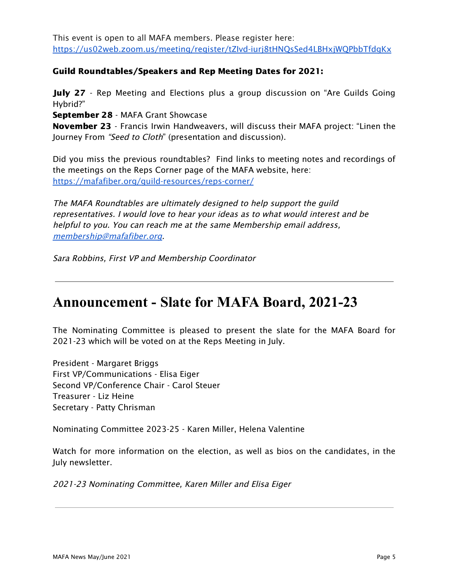This event is open to all MAFA members. Please register here: <https://us02web.zoom.us/meeting/register/tZIvd-iurj8tHNQsSed4LBHxjWQPbbTfdgKx>

#### Guild Roundtables/Speakers and Rep Meeting Dates for 2021:

**July 27** - Rep Meeting and Elections plus a group discussion on "Are Guilds Going Hybrid?"

September 28 - MAFA Grant Showcase

November 23 - Francis Irwin Handweavers, will discuss their MAFA project: "Linen the Journey From "Seed to Cloth" (presentation and discussion).

Did you miss the previous roundtables? Find links to meeting notes and recordings of the meetings on the Reps Corner page of the MAFA website, here: <https://mafafiber.org/guild-resources/reps-corner/>

The MAFA Roundtables are ultimately designed to help support the guild representatives. I would love to hear your ideas as to what would interest and be helpful to you. You can reach me at the same Membership email address, [membership@mafafiber.org](mailto:membership@mafafiber.org).

Sara Robbins, First VP and Membership Coordinator

### **Announcement - Slate for MAFA Board, 2021-23**

The Nominating Committee is pleased to present the slate for the MAFA Board for 2021-23 which will be voted on at the Reps Meeting in July.

President - Margaret Briggs First VP/Communications - Elisa Eiger Second VP/Conference Chair - Carol Steuer Treasurer - Liz Heine Secretary - Patty Chrisman

Nominating Committee 2023-25 - Karen Miller, Helena Valentine

Watch for more information on the election, as well as bios on the candidates, in the July newsletter.

2021-23 Nominating Committee, Karen Miller and Elisa Eiger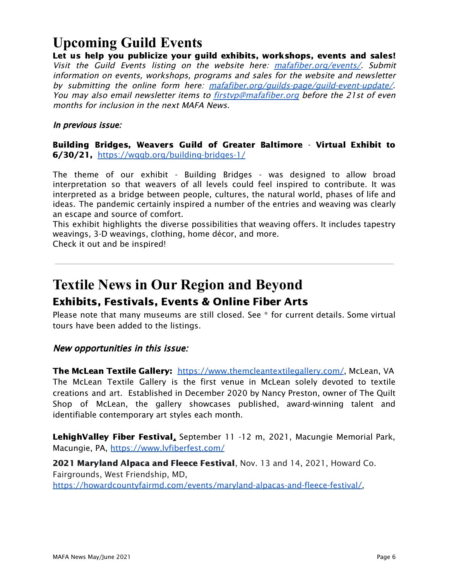# **Upcoming Guild Events**

Let us help you publicize your guild exhibits, workshops, events and sales! Visit the Guild Events listing on the website here: [mafafiber.org/events/](https://mafafiber.org/events/). Submit information on events, workshops, programs and sales for the website and newsletter by submitting the online form here: [mafafiber.org/guilds-page/guild-event-update/](https://mafafiber.org/guilds-page/guild-event-update/). You may also email newsletter items to **firstyp@mafafiber.org** before the 21st of even months for inclusion in the next MAFA News.

In previous issue:

Building Bridges, Weavers Guild of Greater Baltimore - Virtual Exhibit to 6/30/21, <https://wggb.org/building-bridges-1/>

The theme of our exhibit - Building Bridges - was designed to allow broad interpretation so that weavers of all levels could feel inspired to contribute. It was interpreted as a bridge between people, cultures, the natural world, phases of life and ideas. The pandemic certainly inspired a number of the entries and weaving was clearly an escape and source of comfort.

This exhibit highlights the diverse possibilities that weaving offers. It includes tapestry weavings, 3-D weavings, clothing, home décor, and more.

Check it out and be inspired!

### **Textile News in Our Region and Beyond** Exhibits, Festivals, Events & Online Fiber Arts

Please note that many museums are still closed. See \* for current details. Some virtual tours have been added to the listings.

New opportunities in this issue:

The McLean Textile Gallery: <https://www.themcleantextilegallery.com/>, McLean, VA The McLean Textile Gallery is the first venue in McLean solely devoted to textile creations and art. Established in December 2020 by Nancy Preston, owner of The Quilt Shop of McLean, the gallery showcases published, award-winning talent and identifiable contemporary art styles each month.

LehighValley Fiber Festival, September 11 -12 m, 2021, Macungie Memorial Park, Macungie, PA, <https://www.lvfiberfest.com/>

2021 Maryland Alpaca and Fleece Festival, Nov. 13 and 14, 2021, Howard Co. Fairgrounds, West Friendship, MD, [https://howardcountyfairmd.com/events/maryland-alpacas-and-fleece-festival/,](https://howardcountyfairmd.com/events/maryland-alpacas-and-fleece-festival/)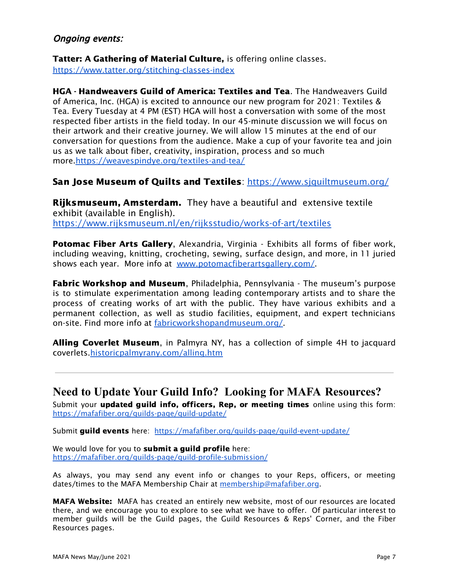#### Ongoing events:

Tatter: A Gathering of Material Culture, is offering online classes. <https://www.tatter.org/stitching-classes-index>

HGA - Handweavers Guild of America: Textiles and Tea. The Handweavers Guild of America, Inc. (HGA) is excited to announce our new program for 2021: Textiles & Tea. Every Tuesday at 4 PM (EST) HGA will host a conversation with some of the most respected fiber artists in the field today. In our 45-minute discussion we will focus on their artwork and their creative journey. We will allow 15 minutes at the end of our conversation for questions from the audience. Make a cup of your favorite tea and join us as we talk about fiber, creativity, inspiration, process and so much more[.https://weavespindye.org/textiles-and-tea/](https://weavespindye.org/textiles-and-tea/)

#### San Jose Museum of Quilts and Textiles: <https://www.sjquiltmuseum.org/>

**Rijksmuseum, Amsterdam.** They have a beautiful and extensive textile exhibit (available in English). <https://www.rijksmuseum.nl/en/rijksstudio/works-of-art/textiles>

**Potomac Fiber Arts Gallery, Alexandria, Virginia - Exhibits all forms of fiber work,** including weaving, knitting, crocheting, sewing, surface design, and more, in 11 juried shows each year. More info at [www.potomacfiberartsgallery.com/](http://www.potomacfiberartsgallery.com/).

Fabric Workshop and Museum, Philadelphia, Pennsylvania - The museum's purpose is to stimulate experimentation among leading contemporary artists and to share the process of creating works of art with the public. They have various exhibits and a permanent collection, as well as studio facilities, equipment, and expert technicians on-site. Find more info at [fabricworkshopandmuseum.org/.](http://fabricworkshopandmuseum.org/)

Alling Coverlet Museum, in Palmyra NY, has a collection of simple 4H to jacquard coverlets[.historicpalmyrany.com/alling.htm](http://historicpalmyrany.com/alling.htm)

### **Need to Update Your Guild Info? Looking for MAFA Resources?**

Submit your **updated quild info, officers, Rep, or meeting times** online using this form: <https://mafafiber.org/guilds-page/guild-update/>

Submit guild events here: [https://mafafiber.org/guilds-page/guild-event-update/](http://mafafiber.org/guilds-page/guild-event-update/)

We would love for you to **submit a quild profile** here: <https://mafafiber.org/guilds-page/guild-profile-submission/>

As always, you may send any event info or changes to your Reps, officers, or meeting dates/times to the MAFA Membership Chair at [membership@mafafiber.org](mailto:membership@mafafiber.org).

MAFA Website: MAFA has created an entirely new website, most of our resources are located there, and we encourage you to explore to see what we have to offer. Of particular interest to member guilds will be the Guild pages, the Guild Resources & Reps' Corner, and the Fiber Resources pages.